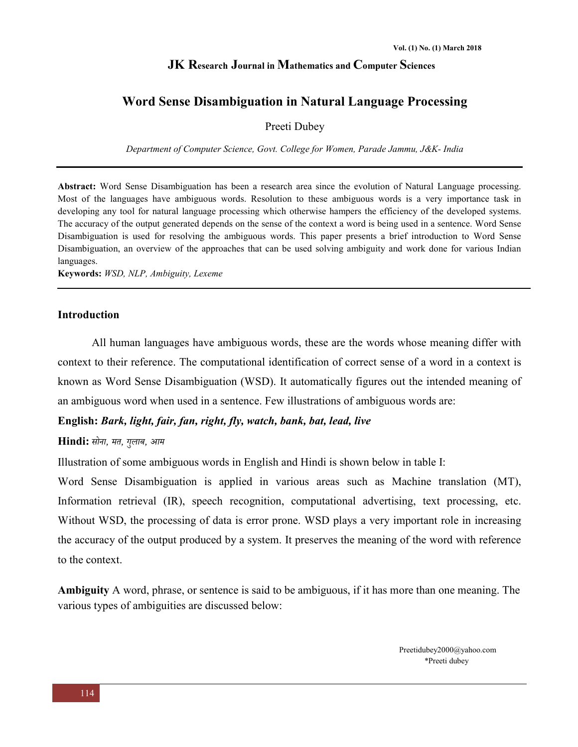## **Word Sense Disambiguation in Natural Language Processing**

## Preeti Dubey

*Department of Computer Science, Govt. College for Women, Parade Jammu, J&K- India* 

**Abstract:** Word Sense Disambiguation has been a research area since the evolution of Natural Language processing. Most of the languages have ambiguous words. Resolution to these ambiguous words is a very importance task in developing any tool for natural language processing which otherwise hampers the efficiency of the developed systems. The accuracy of the output generated depends on the sense of the context a word is being used in a sentence. Word Sense Disambiguation is used for resolving the ambiguous words. This paper presents a brief introduction to Word Sense Disambiguation, an overview of the approaches that can be used solving ambiguity and work done for various Indian languages.

**Keywords:** *WSD, NLP, Ambiguity, Lexeme*

#### **Introduction**

All human languages have ambiguous words, these are the words whose meaning differ with context to their reference. The computational identification of correct sense of a word in a context is known as Word Sense Disambiguation (WSD). It automatically figures out the intended meaning of an ambiguous word when used in a sentence. Few illustrations of ambiguous words are:

## **English:** *Bark, light, fair, fan, right, fly, watch, bank, bat, lead, live*

#### **Hindi:** *सोना, मत, गुलाब, आम*

Illustration of some ambiguous words in English and Hindi is shown below in table I:

Word Sense Disambiguation is applied in various areas such as Machine translation (MT), Information retrieval (IR), speech recognition, computational advertising, text processing, etc. Without WSD, the processing of data is error prone. WSD plays a very important role in increasing the accuracy of the output produced by a system. It preserves the meaning of the word with reference to the context.

**Ambiguity** A word, phrase, or sentence is said to be ambiguous, if it has more than one meaning. The various types of ambiguities are discussed below:

> Preetidubey2000@yahoo.com \*Preeti dubey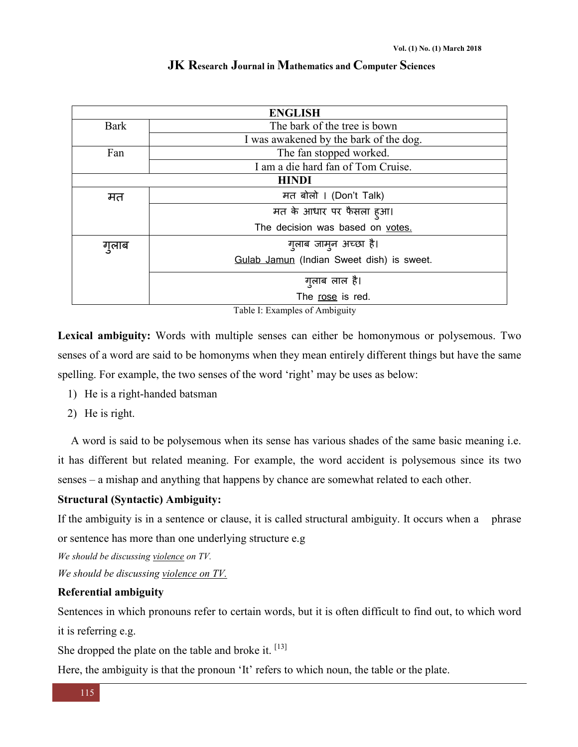|  |  | JK Research Journal in Mathematics and Computer Sciences |  |  |
|--|--|----------------------------------------------------------|--|--|
|--|--|----------------------------------------------------------|--|--|

| <b>ENGLISH</b> |                                           |  |  |  |
|----------------|-------------------------------------------|--|--|--|
| <b>Bark</b>    | The bark of the tree is bown              |  |  |  |
|                | I was awakened by the bark of the dog.    |  |  |  |
| Fan            | The fan stopped worked.                   |  |  |  |
|                | I am a die hard fan of Tom Cruise.        |  |  |  |
| <b>HINDI</b>   |                                           |  |  |  |
| मत             | मत बोलो । (Don't Talk)                    |  |  |  |
|                | मत के आधार पर फैसला हुआ।                  |  |  |  |
|                | The decision was based on votes.          |  |  |  |
| गुलाब          | गुलाब जामुन अच्छा है।                     |  |  |  |
|                | Gulab Jamun (Indian Sweet dish) is sweet. |  |  |  |
|                | गुलाब लाल है।                             |  |  |  |
|                | The rose is red.                          |  |  |  |

Table I: Examples of Ambiguity

**Lexical ambiguity:** Words with multiple senses can either be homonymous or polysemous. Two senses of a word are said to be homonyms when they mean entirely different things but have the same spelling. For example, the two senses of the word 'right' may be uses as below:

- 1) He is a right-handed batsman
- 2) He is right.

A word is said to be polysemous when its sense has various shades of the same basic meaning i.e. it has different but related meaning. For example, the word accident is polysemous since its two senses – a mishap and anything that happens by chance are somewhat related to each other.

## **Structural (Syntactic) Ambiguity:**

If the ambiguity is in a sentence or clause, it is called structural ambiguity. It occurs when a phrase or sentence has more than one underlying structure e.g

*We should be discussing violence on TV.* 

*We should be discussing violence on TV.*

## **Referential ambiguity**

Sentences in which pronouns refer to certain words, but it is often difficult to find out, to which word it is referring e.g.

She dropped the plate on the table and broke it.  $[13]$ 

Here, the ambiguity is that the pronoun 'It' refers to which noun, the table or the plate.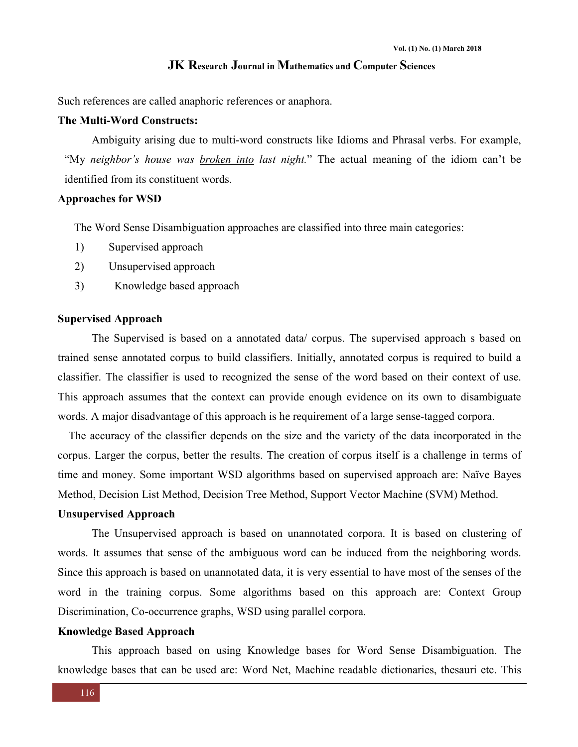Such references are called anaphoric references or anaphora.

## **The Multi-Word Constructs:**

Ambiguity arising due to multi-word constructs like Idioms and Phrasal verbs. For example, "My *neighbor's house was broken into last night.*" The actual meaning of the idiom can't be identified from its constituent words.

#### **Approaches for WSD**

The Word Sense Disambiguation approaches are classified into three main categories:

- 1) Supervised approach
- 2) Unsupervised approach
- 3) Knowledge based approach

#### **Supervised Approach**

The Supervised is based on a annotated data/ corpus. The supervised approach s based on trained sense annotated corpus to build classifiers. Initially, annotated corpus is required to build a classifier. The classifier is used to recognized the sense of the word based on their context of use. This approach assumes that the context can provide enough evidence on its own to disambiguate words. A major disadvantage of this approach is he requirement of a large sense-tagged corpora.

The accuracy of the classifier depends on the size and the variety of the data incorporated in the corpus. Larger the corpus, better the results. The creation of corpus itself is a challenge in terms of time and money. Some important WSD algorithms based on supervised approach are: Naïve Bayes Method, Decision List Method, Decision Tree Method, Support Vector Machine (SVM) Method.

#### **Unsupervised Approach**

The Unsupervised approach is based on unannotated corpora. It is based on clustering of words. It assumes that sense of the ambiguous word can be induced from the neighboring words. Since this approach is based on unannotated data, it is very essential to have most of the senses of the word in the training corpus. Some algorithms based on this approach are: Context Group Discrimination, Co-occurrence graphs, WSD using parallel corpora.

#### **Knowledge Based Approach**

This approach based on using Knowledge bases for Word Sense Disambiguation. The knowledge bases that can be used are: Word Net, Machine readable dictionaries, thesauri etc. This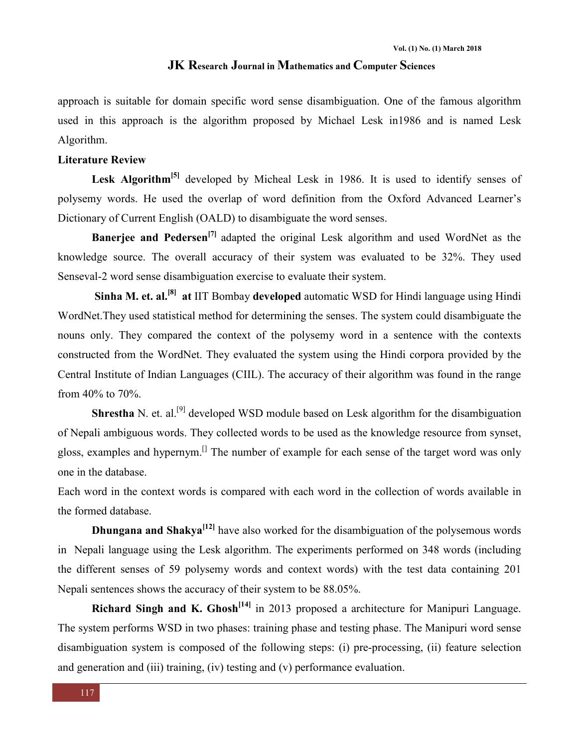approach is suitable for domain specific word sense disambiguation. One of the famous algorithm used in this approach is the algorithm proposed by Michael Lesk in1986 and is named Lesk Algorithm.

## **Literature Review**

Lesk Algorithm<sup>[5]</sup> developed by Micheal Lesk in 1986. It is used to identify senses of polysemy words. He used the overlap of word definition from the Oxford Advanced Learner's Dictionary of Current English (OALD) to disambiguate the word senses.

**Banerjee and Pedersen[7]** adapted the original Lesk algorithm and used WordNet as the knowledge source. The overall accuracy of their system was evaluated to be 32%. They used Senseval-2 word sense disambiguation exercise to evaluate their system.

**Sinha M. et. al.[8] at** IIT Bombay **developed** automatic WSD for Hindi language using Hindi WordNet.They used statistical method for determining the senses. The system could disambiguate the nouns only. They compared the context of the polysemy word in a sentence with the contexts constructed from the WordNet. They evaluated the system using the Hindi corpora provided by the Central Institute of Indian Languages (CIIL). The accuracy of their algorithm was found in the range from 40% to 70%.

**Shrestha** N. et. al.<sup>[9]</sup> developed WSD module based on Lesk algorithm for the disambiguation of Nepali ambiguous words. They collected words to be used as the knowledge resource from synset, gloss, examples and hypernym.[] The number of example for each sense of the target word was only one in the database.

Each word in the context words is compared with each word in the collection of words available in the formed database.

**Dhungana and Shakya<sup>[12]</sup>** have also worked for the disambiguation of the polysemous words in Nepali language using the Lesk algorithm. The experiments performed on 348 words (including the different senses of 59 polysemy words and context words) with the test data containing 201 Nepali sentences shows the accuracy of their system to be 88.05%.

**Richard Singh and K. Ghosh[14]** in 2013 proposed a architecture for Manipuri Language. The system performs WSD in two phases: training phase and testing phase. The Manipuri word sense disambiguation system is composed of the following steps: (i) pre-processing, (ii) feature selection and generation and (iii) training, (iv) testing and (v) performance evaluation.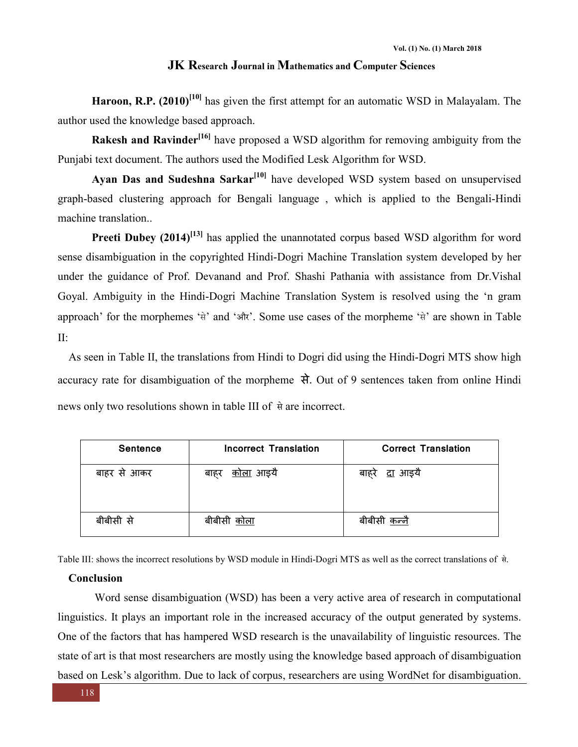**Haroon, R.P. (2010)[10]** has given the first attempt for an automatic WSD in Malayalam. The author used the knowledge based approach.

**Rakesh and Ravinder[16]** have proposed a WSD algorithm for removing ambiguity from the Punjabi text document. The authors used the Modified Lesk Algorithm for WSD.

Ayan Das and Sudeshna Sarkar<sup>[10]</sup> have developed WSD system based on unsupervised graph-based clustering approach for Bengali language , which is applied to the Bengali-Hindi machine translation..

**Preeti Dubey (2014)<sup>[13]</sup>** has applied the unannotated corpus based WSD algorithm for word sense disambiguation in the copyrighted Hindi-Dogri Machine Translation system developed by her under the guidance of Prof. Devanand and Prof. Shashi Pathania with assistance from Dr.Vishal Goyal. Ambiguity in the Hindi-Dogri Machine Translation System is resolved using the 'n gram approach' for the morphemes 'से' and 'और'. Some use cases of the morpheme 'से' are shown in Table II:

As seen in Table II, the translations from Hindi to Dogri did using the Hindi-Dogri MTS show high accuracy rate for disambiguation of the morpheme से. Out of 9 sentences taken from online Hindi news only two resolutions shown in table III of से are incorrect.

| <b>Sentence</b> | Incorrect Translation    | <b>Correct Translation</b> |
|-----------------|--------------------------|----------------------------|
| बाहर से आकर     | <u>कोला</u> आइयै<br>बाहर | <u>दा</u> आइयै<br>बाहरे    |
| बीबीसी से       | बीबीसी <u>कोला</u>       | बीबीसी कन्नै               |

Table III: shows the incorrect resolutions by WSD module in Hindi-Dogri MTS as well as the correct translations of से.

## **Conclusion**

Word sense disambiguation (WSD) has been a very active area of research in computational linguistics. It plays an important role in the increased accuracy of the output generated by systems. One of the factors that has hampered WSD research is the unavailability of linguistic resources. The state of art is that most researchers are mostly using the knowledge based approach of disambiguation based on Lesk's algorithm. Due to lack of corpus, researchers are using WordNet for disambiguation.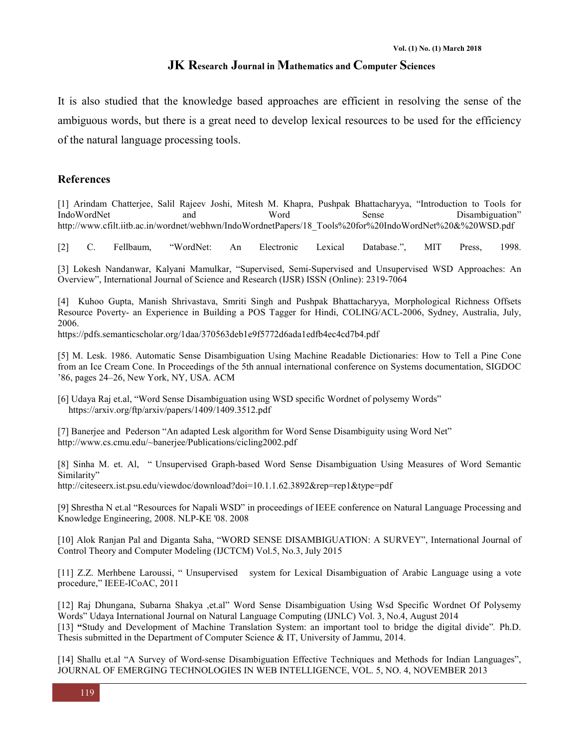It is also studied that the knowledge based approaches are efficient in resolving the sense of the ambiguous words, but there is a great need to develop lexical resources to be used for the efficiency of the natural language processing tools.

## **References**

[1] Arindam Chatterjee, Salil Rajeev Joshi, Mitesh M. Khapra, Pushpak Bhattacharyya, "Introduction to Tools for IndoWordNet and Word Sense Disambiguation" http://www.cfilt.iitb.ac.in/wordnet/webhwn/IndoWordnetPapers/18\_Tools%20for%20IndoWordNet%20&%20WSD.pdf

[2] C. Fellbaum, "WordNet: An Electronic Lexical Database.", MIT Press, 1998.

[3] Lokesh Nandanwar, Kalyani Mamulkar, "Supervised, Semi-Supervised and Unsupervised WSD Approaches: An Overview", International Journal of Science and Research (IJSR) ISSN (Online): 2319-7064

[4] Kuhoo Gupta, Manish Shrivastava, Smriti Singh and Pushpak Bhattacharyya, Morphological Richness Offsets Resource Poverty- an Experience in Building a POS Tagger for Hindi, COLING/ACL-2006, Sydney, Australia, July, 2006.

https://pdfs.semanticscholar.org/1daa/370563deb1e9f5772d6ada1edfb4ec4cd7b4.pdf

[5] M. Lesk. 1986. Automatic Sense Disambiguation Using Machine Readable Dictionaries: How to Tell a Pine Cone from an Ice Cream Cone. In Proceedings of the 5th annual international conference on Systems documentation, SIGDOC '86, pages 24–26, New York, NY, USA. ACM

[6] Udaya Raj et.al, "Word Sense Disambiguation using WSD specific Wordnet of polysemy Words" https://arxiv.org/ftp/arxiv/papers/1409/1409.3512.pdf

[7] Banerjee and Pederson "An adapted Lesk algorithm for Word Sense Disambiguity using Word Net" http://www.cs.cmu.edu/~banerjee/Publications/cicling2002.pdf

[8] Sinha M. et. Al, " Unsupervised Graph-based Word Sense Disambiguation Using Measures of Word Semantic Similarity"

http://citeseerx.ist.psu.edu/viewdoc/download?doi=10.1.1.62.3892&rep=rep1&type=pdf

[9] Shrestha N et.al "Resources for Napali WSD" in proceedings of IEEE conference on Natural Language Processing and Knowledge Engineering, 2008. NLP-KE '08. 2008

[10] Alok Ranjan Pal and Diganta Saha, "WORD SENSE DISAMBIGUATION: A SURVEY", International Journal of Control Theory and Computer Modeling (IJCTCM) Vol.5, No.3, July 2015

[11] Z.Z. Merhbene Laroussi, " Unsupervised system for Lexical Disambiguation of Arabic Language using a vote procedure," IEEE-ICoAC, 2011

[12] Raj Dhungana, Subarna Shakya ,et.al" Word Sense Disambiguation Using Wsd Specific Wordnet Of Polysemy Words" Udaya International Journal on Natural Language Computing (IJNLC) Vol. 3, No.4, August 2014 [13] **"**Study and Development of Machine Translation System: an important tool to bridge the digital divide"*.* Ph.D. Thesis submitted in the Department of Computer Science & IT, University of Jammu, 2014.

[14] Shallu et.al "A Survey of Word-sense Disambiguation Effective Techniques and Methods for Indian Languages", JOURNAL OF EMERGING TECHNOLOGIES IN WEB INTELLIGENCE, VOL. 5, NO. 4, NOVEMBER 2013